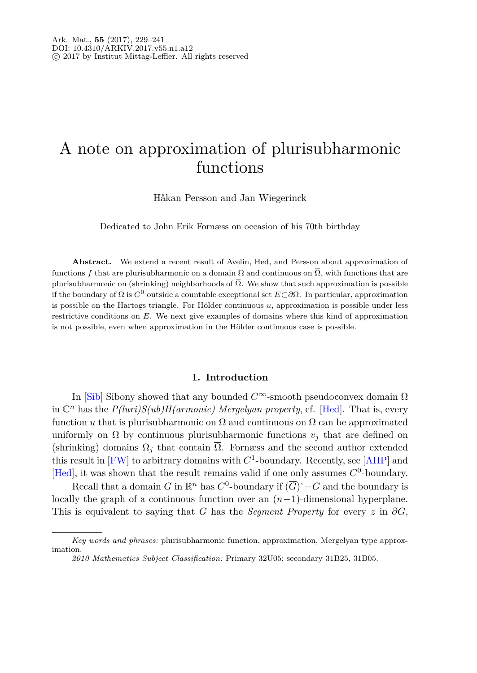# A note on approximation of plurisubharmonic functions

Håkan Persson and Jan Wiegerinck

Dedicated to John Erik Fornæss on occasion of his 70th birthday

**Abstract.** We extend a recent result of Avelin, Hed, and Persson about approximation of functions *f* that are plurisubharmonic on a domain  $\Omega$  and continuous on  $\overline{\Omega}$ , with functions that are plurisubharmonic on (shrinking) neighborhoods of  $\overline{\Omega}$ . We show that such approximation is possible if the boundary of Ω is *<sup>C</sup>*<sup>0</sup> outside a countable exceptional set *<sup>E</sup>*⊂*∂*Ω. In particular, approximation is possible on the Hartogs triangle. For Hölder continuous *u*, approximation is possible under less restrictive conditions on *E*. We next give examples of domains where this kind of approximation is not possible, even when approximation in the Hölder continuous case is possible.

## **1. Introduction**

In [\[Sib](#page-12-0)] Sibony showed that any bounded  $C^{\infty}$ -smooth pseudoconvex domain  $\Omega$ in  $\mathbb{C}^n$  has the  $P(luri)S(ub)H(armonic)$  Mergelyan property, cf. [\[Hed](#page-12-1)]. That is, every function *u* that is plurisubharmonic on  $\Omega$  and continuous on  $\overline{\Omega}$  can be approximated uniformly on  $\overline{\Omega}$  by continuous plurisubharmonic functions  $v_j$  that are defined on (shrinking) domains  $\Omega_i$  that contain  $\overline{\Omega}$ . Fornæss and the second author extended this result in  $[FW]$  to arbitrary domains with  $C^1$ -boundary. Recently, see [\[AHP](#page-11-1)] and [\[Hed\]](#page-12-1), it was shown that the result remains valid if one only assumes *C*<sup>0</sup>-boundary.

Recall that a domain *G* in  $\mathbb{R}^n$  has  $C^0$ -boundary if  $(\overline{G})^{\circ} = G$  and the boundary is locally the graph of a continuous function over an (*n*−1)-dimensional hyperplane. This is equivalent to saying that *G* has the *Segment Property* for every  $z$  in  $\partial G$ ,

*Key words and phrases:* plurisubharmonic function, approximation, Mergelyan type approximation.

*<sup>2010</sup> Mathematics Subject Classification:* Primary 32U05; secondary 31B25, 31B05.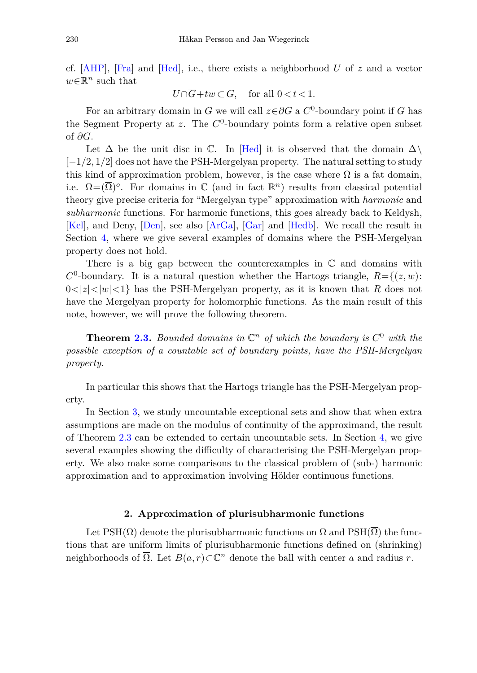cf. [\[AHP\]](#page-11-1), [\[Fra\]](#page-11-2) and [\[Hed](#page-12-1)], i.e., there exists a neighborhood *U* of *z* and a vector *<sup>w</sup>*∈R*<sup>n</sup>* such that

 $U \cap \overline{G} + tw \subset G$ , for all  $0 < t < 1$ .

For an arbitrary domain in *G* we will call  $z \in \partial G$  a  $C^0$ -boundary point if *G* has the Segment Property at  $z$ . The  $C^0$ -boundary points form a relative open subset of *∂G*.

Let  $\Delta$  be the unit disc in C. In [\[Hed\]](#page-12-1) it is observed that the domain  $\Delta \setminus$ [−1*/*2*,* 1*/*2] does not have the PSH-Mergelyan property. The natural setting to study this kind of approximation problem, however, is the case where  $\Omega$  is a fat domain, i.e.  $\Omega = (\overline{\Omega})^o$ . For domains in  $\mathbb C$  (and in fact  $\mathbb R^n$ ) results from classical potential theory give precise criteria for "Mergelyan type" approximation with *harmonic* and *subharmonic* functions. For harmonic functions, this goes already back to Keldysh, [\[Kel](#page-12-2)], and Deny, [\[Den](#page-11-3)], see also [\[ArGa\]](#page-11-4), [\[Gar](#page-11-5)] and [\[Hedb\]](#page-12-3). We recall the result in Section [4,](#page-9-0) where we give several examples of domains where the PSH-Mergelyan property does not hold.

There is a big gap between the counterexamples in  $\mathbb C$  and domains with  $C^0$ -boundary. It is a natural question whether the Hartogs triangle,  $R = \{(z, w):$  $0 \le |z| \le |w| \le 1$  has the PSH-Mergelyan property, as it is known that R does not have the Mergelyan property for holomorphic functions. As the main result of this note, however, we will prove the following theorem.

**Theorem [2.3.](#page-3-0)** *Bounded domains in*  $\mathbb{C}^n$  *of which the boundary is*  $C^0$  *with the possible exception of a countable set of boundary points, have the PSH-Mergelyan property.*

In particular this shows that the Hartogs triangle has the PSH-Mergelyan property.

In Section [3,](#page-4-0) we study uncountable exceptional sets and show that when extra assumptions are made on the modulus of continuity of the approximand, the result of Theorem [2.3](#page-3-0) can be extended to certain uncountable sets. In Section [4,](#page-9-0) we give several examples showing the difficulty of characterising the PSH-Mergelyan property. We also make some comparisons to the classical problem of (sub-) harmonic approximation and to approximation involving Hölder continuous functions.

### **2. Approximation of plurisubharmonic functions**

Let PSH( $\Omega$ ) denote the plurisubharmonic functions on  $\Omega$  and PSH( $\overline{\Omega}$ ) the functions that are uniform limits of plurisubharmonic functions defined on (shrinking) neighborhoods of  $\overline{\Omega}$ . Let  $B(a, r) \subset \mathbb{C}^n$  denote the ball with center *a* and radius *r*.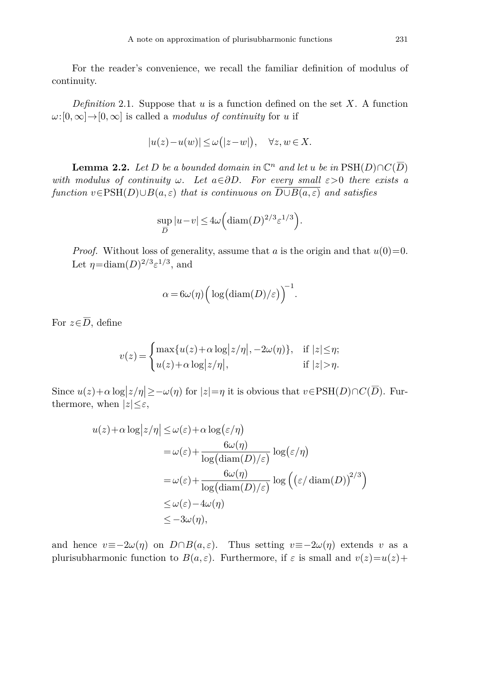For the reader's convenience, we recall the familiar definition of modulus of continuity.

*Definition* 2.1. Suppose that *u* is a function defined on the set *X*. A function  $\omega$ :[0*,*∞]→[0*,*∞] is called a *modulus of continuity* for *u* if

$$
|u(z)-u(w)| \le \omega(|z-w|), \quad \forall z, w \in X.
$$

<span id="page-2-0"></span>**Lemma 2.2.** Let *D* be a bounded domain in  $\mathbb{C}^n$  and let *u* be in  $\text{PSH}(D) \cap C(\overline{D})$ with modulus of continuity  $\omega$ . Let  $a \in \partial D$ . For every small  $\varepsilon > 0$  there exists a function  $v \in \text{PSH}(D) \cup B(a, \varepsilon)$  that is continuous on  $\overline{D \cup B(a, \varepsilon)}$  and satisfies

$$
\sup_{\overline{D}} |u-v| \le 4\omega \Big( \text{diam}(D)^{2/3} \varepsilon^{1/3} \Big).
$$

*Proof.* Without loss of generality, assume that *a* is the origin and that  $u(0)=0$ . Let  $\eta = \text{diam}(D)^{2/3} \varepsilon^{1/3}$ , and

$$
\alpha = 6\omega(\eta) \Big( \log(\text{diam}(D)/\varepsilon) \Big)^{-1}.
$$

For  $z \in \overline{D}$ , define

$$
v(z) = \begin{cases} \max\{u(z) + \alpha \log |z/\eta|, -2\omega(\eta)\}, & \text{if } |z| \le \eta; \\ u(z) + \alpha \log |z/\eta|, & \text{if } |z| > \eta. \end{cases}
$$

Since  $u(z) + \alpha \log |z/\eta| \geq -\omega(\eta)$  for  $|z| = \eta$  it is obvious that  $v \in \text{PSH}(D) \cap C(\overline{D})$ . Furthermore, when  $|z| \leq \varepsilon$ ,

$$
u(z) + \alpha \log |z/\eta| \le \omega(\varepsilon) + \alpha \log(\varepsilon/\eta)
$$
  
=  $\omega(\varepsilon) + \frac{6\omega(\eta)}{\log(\operatorname{diam}(D)/\varepsilon)} \log(\varepsilon/\eta)$   
=  $\omega(\varepsilon) + \frac{6\omega(\eta)}{\log(\operatorname{diam}(D)/\varepsilon)} \log((\varepsilon/\operatorname{diam}(D))^{2/3})$   
 $\le \omega(\varepsilon) - 4\omega(\eta)$   
 $\le -3\omega(\eta),$ 

and hence  $v \equiv -2\omega(\eta)$  on  $D \cap B(a, \varepsilon)$ . Thus setting  $v \equiv -2\omega(\eta)$  extends v as a plurisubharmonic function to  $B(a, \varepsilon)$ . Furthermore, if  $\varepsilon$  is small and  $v(z)=u(z)+v(z)$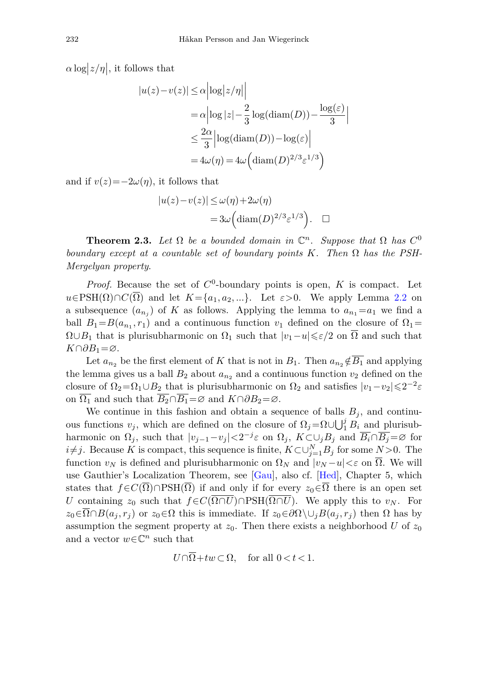$\alpha \log |z/\eta|$ , it follows that

$$
|u(z) - v(z)| \le \alpha \left| \log |z/\eta| \right|
$$
  
=  $\alpha \left| \log |z| - \frac{2}{3} \log(\text{diam}(D)) - \frac{\log(\varepsilon)}{3} \right|$   
 $\le \frac{2\alpha}{3} \left| \log(\text{diam}(D)) - \log(\varepsilon) \right|$   
=  $4\omega(\eta) = 4\omega \left( \text{diam}(D)^{2/3} \varepsilon^{1/3} \right)$ 

and if  $v(z) = -2\omega(\eta)$ , it follows that

$$
|u(z)-v(z)| \le \omega(\eta) + 2\omega(\eta)
$$
  
=  $3\omega \left(\text{diam}(D)^{2/3} \varepsilon^{1/3}\right)$ .  $\square$ 

<span id="page-3-0"></span>**Theorem 2.3.** Let  $\Omega$  be a bounded domain in  $\mathbb{C}^n$ . Suppose that  $\Omega$  has  $C^0$ boundary except at a countable set of boundary points  $K$ . Then  $\Omega$  has the PSH-Mergelyan property.

*Proof.* Because the set of *C*<sup>0</sup>-boundary points is open, *K* is compact. Let  $u \in PSH(\Omega) \cap C(\overline{\Omega})$  and let  $K = \{a_1, a_2, ...\}$ . Let  $\varepsilon > 0$ . We apply Lemma [2.2](#page-2-0) on a subsequence  $(a_{n_i})$  of K as follows. Applying the lemma to  $a_{n_1}=a_1$  we find a ball  $B_1 = B(a_{n_1}, r_1)$  and a continuous function  $v_1$  defined on the closure of  $\Omega_1 =$  $\Omega \cup B_1$  that is plurisubharmonic on  $\Omega_1$  such that  $|v_1-u|\leqslant \varepsilon/2$  on  $\overline{\Omega}$  and such that *K*∩ $\partial B_1 = \emptyset$ .

Let  $a_{n_2}$  be the first element of *K* that is not in  $B_1$ . Then  $a_{n_2} \notin \overline{B_1}$  and applying the lemma gives us a ball  $B_2$  about  $a_{n_2}$  and a continuous function  $v_2$  defined on the closure of  $\Omega_2 = \Omega_1 \cup B_2$  that is plurisubharmonic on  $\Omega_2$  and satisfies  $|v_1-v_2| \leq 2^{-2} \varepsilon$ on  $\overline{\Omega_1}$  and such that  $\overline{B_2} \cap \overline{B_1} = \emptyset$  and  $K \cap \partial B_2 = \emptyset$ .

We continue in this fashion and obtain a sequence of balls  $B_j$ , and continuous functions  $v_j$ , which are defined on the closure of  $\Omega_j = \Omega \cup \bigcup_{i=1}^{j} B_i$  and plurisubharmonic on  $\Omega_j$ , such that  $|v_{j-1}-v_j| < 2^{-j}\varepsilon$  on  $\Omega_j$ ,  $K \subset \cup_j B_j$  and  $\overline{B_i} \cap \overline{B_j} = \varnothing$  for *i*≠*j*. Because *K* is compact, this sequence is finite,  $K \subset \bigcup_{j=1}^{N} B_j$  for some  $N > 0$ . The function  $v_N$  is defined and plurisubharmonic on  $\Omega_N$  and  $|v_N - u| < \varepsilon$  on  $\overline{\Omega}$ . We will use Gauthier's Localization Theorem, see [\[Gau](#page-12-4)], also cf. [\[Hed](#page-12-1)], Chapter 5, which states that  $f \in C(\overline{\Omega}) \cap \text{PSH}(\overline{\Omega})$  if and only if for every  $z_0 \in \overline{\Omega}$  there is an open set *U* containing  $z_0$  such that  $f \in C(\overline{\Omega \cap U}) \cap \text{PSH}(\overline{\Omega \cap U})$ . We apply this to  $v_N$ . For  $z_0 \in \overline{\Omega} \cap B(a_j, r_j)$  or  $z_0 \in \Omega$  this is immediate. If  $z_0 \in \partial \Omega \setminus \cup_j B(a_j, r_j)$  then  $\Omega$  has by assumption the segment property at  $z_0$ . Then there exists a neighborhood *U* of  $z_0$ and a vector  $w \in \mathbb{C}^n$  such that

$$
U \cap \overline{\Omega} + tw \subset \Omega, \quad \text{for all } 0 < t < 1.
$$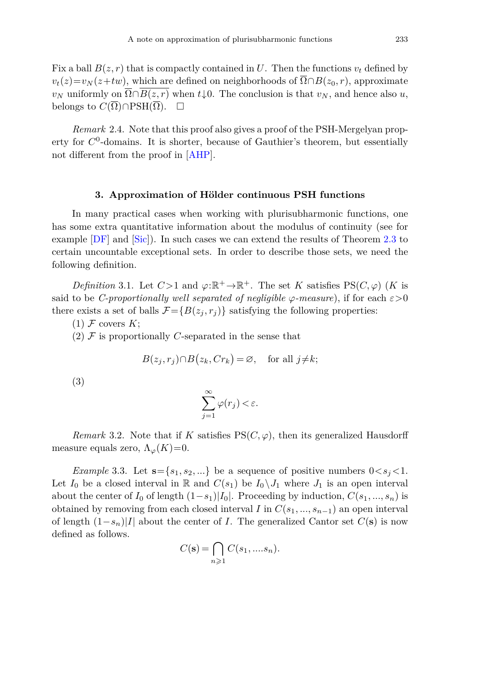Fix a ball  $B(z, r)$  that is compactly contained in *U*. Then the functions  $v_t$  defined by  $v_t(z) = v_N(z+tw)$ , which are defined on neighborhoods of  $\overline{\Omega} \cap B(z_0, r)$ , approximate *v<sub>N</sub>* uniformly on  $\overline{\Omega} \cap B(z, r)$  when  $t \downarrow 0$ . The conclusion is that *v<sub>N</sub>*, and hence also *u*, belongs to  $C(\Omega) \cap \mathrm{PSH}(\Omega)$ .  $\Box$ 

*Remark* 2.4. Note that this proof also gives a proof of the PSH-Mergelyan property for  $C^0$ -domains. It is shorter, because of Gauthier's theorem, but essentially not different from the proof in [\[AHP](#page-11-1)].

### **3. Approximation of Hölder continuous PSH functions**

<span id="page-4-0"></span>In many practical cases when working with plurisubharmonic functions, one has some extra quantitative information about the modulus of continuity (see for example [\[DF](#page-11-6)] and [\[Sic\]](#page-12-5)). In such cases we can extend the results of Theorem [2.3](#page-3-0) to certain uncountable exceptional sets. In order to describe those sets, we need the following definition.

*Definition* 3.1. Let  $C>1$  and  $\varphi:\mathbb{R}^+\to\mathbb{R}^+$ . The set *K* satisfies  $PS(C,\varphi)$  (*K* is said to be *C-proportionally well separated of negligible*  $\varphi$ -measure), if for each  $\varepsilon > 0$ there exists a set of balls  $\mathcal{F} = \{B(z_j, r_j)\}\$  satisfying the following properties:

 $(1)$  F covers K;

 $(2)$  F is proportionally *C*-separated in the sense that

$$
B(z_j, r_j) \cap B(z_k, Cr_k) = \varnothing, \text{ for all } j \neq k;
$$

(3)

$$
\sum_{j=1}^{\infty} \varphi(r_j) < \varepsilon.
$$

*Remark* 3.2. Note that if *K* satisfies  $PS(C, \varphi)$ , then its generalized Hausdorff measure equals zero,  $\Lambda_{\varphi}(K)=0$ .

<span id="page-4-1"></span>*Example* 3.3. Let  $\mathbf{s} = \{s_1, s_2, ...\}$  be a sequence of positive numbers  $0 < s_j < 1$ . Let  $I_0$  be a closed interval in R and  $C(s_1)$  be  $I_0 \setminus J_1$  where  $J_1$  is an open interval about the center of  $I_0$  of length  $(1-s_1)|I_0|$ . Proceeding by induction,  $C(s_1, ..., s_n)$  is obtained by removing from each closed interval *I* in  $C(s_1, ..., s_{n-1})$  an open interval of length (1−*sn*)|*I*| about the center of *I*. The generalized Cantor set *C*(**s**) is now defined as follows.

$$
C(\mathbf{s}) = \bigcap_{n \geqslant 1} C(s_1, \dots s_n).
$$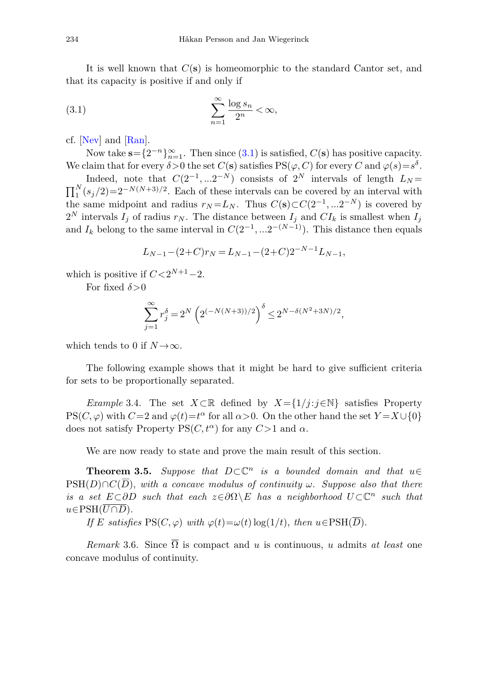It is well known that *C*(**s**) is homeomorphic to the standard Cantor set, and that its capacity is positive if and only if

<span id="page-5-0"></span>
$$
\sum_{n=1}^{\infty} \frac{\log s_n}{2^n} < \infty,
$$

cf. [\[Nev](#page-12-6)] and [\[Ran](#page-12-7)].

Now take **s**= $\{2^{-n}\}_{n=1}^{\infty}$ . Then since [\(3.1\)](#page-5-0) is satisfied,  $C(\mathbf{s})$  has positive capacity. We claim that for every  $\delta > 0$  the set  $C(\mathbf{s})$  satisfies  $PS(\varphi, C)$  for every  $C$  and  $\varphi(s) = s^{\delta}$ .

Indeed, note that  $C(2^{-1}, \ldots 2^{-N})$  consists of 2<sup>*N*</sup> intervals of length  $L_N =$  $\prod_{1}^{N} (s_j/2) = 2^{-N(N+3)/2}$ . Each of these intervals can be covered by an interval with the same midpoint and radius  $r_N = L_N$ . Thus  $C(\mathbf{s}) \subset C(2^{-1}, \ldots 2^{-N})$  is covered by  $2^N$  intervals  $I_j$  of radius  $r_N$ . The distance between  $I_j$  and  $CI_k$  is smallest when  $I_j$ and  $I_k$  belong to the same interval in  $C(2^{-1}, ... 2^{-(N-1)})$ . This distance then equals

$$
L_{N-1} - (2+C)r_N = L_{N-1} - (2+C)2^{-N-1}L_{N-1},
$$

which is positive if  $C < 2^{N+1}-2$ .

For fixed *δ>*0

<span id="page-5-1"></span>
$$
\sum_{j=1}^{\infty} r_j^{\delta} = 2^N \left( 2^{(-N(N+3))/2} \right)^{\delta} \le 2^{N - \delta(N^2 + 3N)/2},
$$

which tends to 0 if  $N \rightarrow \infty$ .

The following example shows that it might be hard to give sufficient criteria for sets to be proportionally separated.

*Example* 3.4. The set  $X \subset \mathbb{R}$  defined by  $X = \{1/j : j \in \mathbb{N}\}\$  satisfies Property  $PS(C, \varphi)$  with  $C=2$  and  $\varphi(t)=t^{\alpha}$  for all  $\alpha > 0$ . On the other hand the set  $Y=X\cup\{0\}$ does not satisfy Property PS $(C, t^{\alpha})$  for any  $C > 1$  and  $\alpha$ .

We are now ready to state and prove the main result of this section.

**Theorem 3.5.** Suppose that  $D \subset \mathbb{C}^n$  is a bounded domain and that  $u \in$  $PSH(D) \cap C(\overline{D})$ , with a concave modulus of continuity *ω*. Suppose also that there is a set  $E \subset \partial D$  such that each  $z \in \partial \Omega \setminus E$  has a neighborhood  $U \subset \mathbb{C}^n$  such that  $u ∈ PSH(\overline{U \cap D})$ .

If *E* satisfies  $PS(C, \varphi)$  with  $\varphi(t) = \omega(t) \log(1/t)$ , then  $u \in PSH(\overline{D})$ .

*Remark* 3.6. Since Ω is compact and *u* is continuous, *u* admits *at least* one concave modulus of continuity.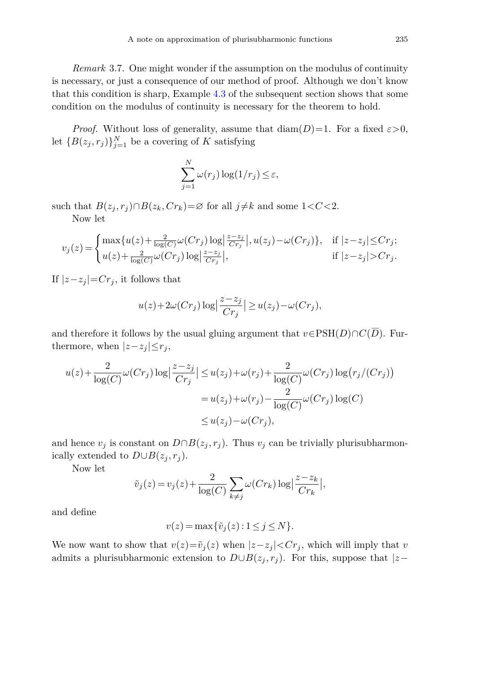*Remark* 3.7. One might wonder if the assumption on the modulus of continuity is necessary, or just a consequence of our method of proof. Although we don't know that this condition is sharp, Example [4.3](#page-10-0) of the subsequent section shows that some condition on the modulus of continuity is necessary for the theorem to hold.

*Proof.* Without loss of generality, assume that  $\text{diam}(D)=1$ . For a fixed  $\varepsilon > 0$ , let  ${B(z_j, r_j)}_{j=1}^N$  be a covering of *K* satisfying

$$
\sum_{j=1}^{N} \omega(r_j) \log(1/r_j) \le \varepsilon,
$$

such that  $B(z_j, r_j) \cap B(z_k, Cr_k) = \emptyset$  for all  $j \neq k$  and some  $1 < C < 2$ .

Now let

$$
v_j(z) = \begin{cases} \max\{u(z) + \frac{2}{\log(C)}\omega(Cr_j)\log\left|\frac{z-z_j}{Cr_j}\right|, u(z_j) - \omega(Cr_j)\}, & \text{if } |z-z_j| \le Cr_j; \\ u(z) + \frac{2}{\log(C)}\omega(Cr_j)\log\left|\frac{z-z_j}{Cr_j}\right|, & \text{if } |z-z_j| > Cr_j. \end{cases}
$$

If  $|z-z_j|=Cr_j$ , it follows that

$$
u(z) + 2\omega(Cr_j) \log \left| \frac{z - z_j}{Cr_j} \right| \ge u(z_j) - \omega(Cr_j),
$$

and therefore it follows by the usual gluing argument that  $v \in \text{PSH}(D) \cap C(\overline{D})$ . Furthermore, when  $|z-z_j| \leq r_j$ ,

$$
u(z) + \frac{2}{\log(C)} \omega(Cr_j) \log \left| \frac{z - z_j}{Cr_j} \right| \le u(z_j) + \omega(r_j) + \frac{2}{\log(C)} \omega(Cr_j) \log(r_j/(Cr_j))
$$
  
=  $u(z_j) + \omega(r_j) - \frac{2}{\log(C)} \omega(Cr_j) \log(C)$   
 $\le u(z_j) - \omega(Cr_j),$ 

and hence  $v_j$  is constant on  $D \cap B(z_j, r_j)$ . Thus  $v_j$  can be trivially plurisubharmonically extended to  $D \cup B(z_i, r_i)$ .

Now let

$$
\tilde{v}_j(z) = v_j(z) + \frac{2}{\log(C)} \sum_{k \neq j} \omega(Cr_k) \log \left| \frac{z - z_k}{Cr_k} \right|,
$$

and define

$$
v(z) = \max\{\tilde{v}_j(z) : 1 \le j \le N\}.
$$

We now want to show that  $v(z) = \tilde{v}_j(z)$  when  $|z - z_j| < Cr_j$ , which will imply that *v* admits a plurisubharmonic extension to  $D \cup B(z_j, r_j)$ . For this, suppose that  $|z-\rangle$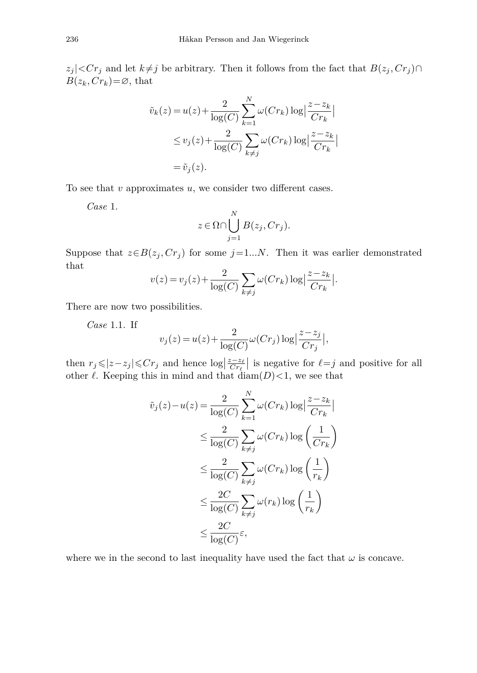*z*<sub>*j*</sub> |  $\lt$ *Cr*<sup>*j*</sup> and let *k*≠*j* be arbitrary. Then it follows from the fact that *B*(*z*<sub>*j*</sub>, *Cr*<sub>*j*</sub>)∩  $B(z_k, Cr_k)=\emptyset$ , that

$$
\tilde{v}_k(z) = u(z) + \frac{2}{\log(C)} \sum_{k=1}^N \omega(Cr_k) \log \left| \frac{z - z_k}{Cr_k} \right|
$$
  

$$
\leq v_j(z) + \frac{2}{\log(C)} \sum_{k \neq j} \omega(Cr_k) \log \left| \frac{z - z_k}{Cr_k} \right|
$$
  

$$
= \tilde{v}_j(z).
$$

To see that *v* approximates *u*, we consider two different cases.

*Case* 1.

$$
z \in \Omega \cap \bigcup_{j=1}^N B(z_j, Cr_j).
$$

Suppose that  $z \in B(z_j, Cr_j)$  for some  $j=1...N$ . Then it was earlier demonstrated that

$$
v(z) = v_j(z) + \frac{2}{\log(C)} \sum_{k \neq j} \omega(Cr_k) \log \left| \frac{z - z_k}{Cr_k} \right|.
$$

There are now two possibilities.

*Case* 1.1. If

$$
v_j(z) = u(z) + \frac{2}{\log(C)} \omega(Cr_j) \log \left| \frac{z - z_j}{Cr_j} \right|,
$$

then  $r_j \le |z - z_j| \le Cr_j$  and hence  $\log \left| \frac{z - z_\ell}{Cr_\ell} \right|$  is negative for  $\ell = j$  and positive for all other  $\ell$ . Keeping this in mind and that  $\text{diam}(D) < 1$ , we see that

$$
\tilde{v}_j(z) - u(z) = \frac{2}{\log(C)} \sum_{k=1}^N \omega(Cr_k) \log \left| \frac{z - z_k}{Cr_k} \right|
$$
  
\n
$$
\leq \frac{2}{\log(C)} \sum_{k \neq j} \omega(Cr_k) \log \left( \frac{1}{Cr_k} \right)
$$
  
\n
$$
\leq \frac{2}{\log(C)} \sum_{k \neq j} \omega(Cr_k) \log \left( \frac{1}{r_k} \right)
$$
  
\n
$$
\leq \frac{2C}{\log(C)} \sum_{k \neq j} \omega(r_k) \log \left( \frac{1}{r_k} \right)
$$
  
\n
$$
\leq \frac{2C}{\log(C)} \varepsilon,
$$

where we in the second to last inequality have used the fact that  $\omega$  is concave.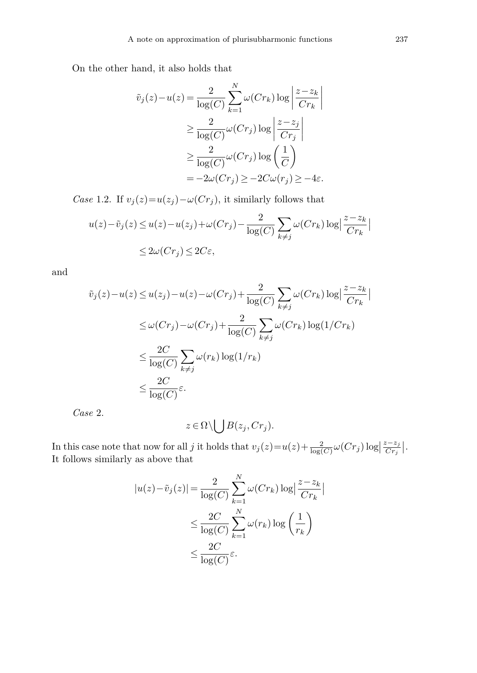On the other hand, it also holds that

$$
\tilde{v}_j(z) - u(z) = \frac{2}{\log(C)} \sum_{k=1}^N \omega(Cr_k) \log \left| \frac{z - z_k}{Cr_k} \right|
$$
  
\n
$$
\geq \frac{2}{\log(C)} \omega(Cr_j) \log \left| \frac{z - z_j}{Cr_j} \right|
$$
  
\n
$$
\geq \frac{2}{\log(C)} \omega(Cr_j) \log \left( \frac{1}{C} \right)
$$
  
\n
$$
= -2\omega(Cr_j) \geq -2C\omega(r_j) \geq -4\varepsilon.
$$

*Case* 1.2. If  $v_j(z) = u(z_j) - \omega(Cr_j)$ , it similarly follows that

$$
u(z) - \tilde{v}_j(z) \le u(z) - u(z_j) + \omega(Cr_j) - \frac{2}{\log(C)} \sum_{k \ne j} \omega(Cr_k) \log \left| \frac{z - z_k}{Cr_k} \right|
$$
  

$$
\le 2\omega(Cr_j) \le 2C\varepsilon,
$$

and

$$
\tilde{v}_j(z) - u(z) \le u(z_j) - u(z) - \omega(Cr_j) + \frac{2}{\log(C)} \sum_{k \ne j} \omega(Cr_k) \log \left| \frac{z - z_k}{Cr_k} \right|
$$
  

$$
\le \omega(Cr_j) - \omega(Cr_j) + \frac{2}{\log(C)} \sum_{k \ne j} \omega(Cr_k) \log(1/Cr_k)
$$
  

$$
\le \frac{2C}{\log(C)} \sum_{k \ne j} \omega(r_k) \log(1/r_k)
$$
  

$$
\le \frac{2C}{\log(C)} \varepsilon.
$$

*Case* 2.

$$
z \in \Omega \setminus \bigcup B(z_j, Cr_j).
$$

In this case note that now for all *j* it holds that  $v_j(z) = u(z) + \frac{2}{\log(C)} \omega(Cr_j) \log \left| \frac{z - z_j}{Cr_j} \right|$ . It follows similarly as above that

$$
|u(z) - \tilde{v}_j(z)| = \frac{2}{\log(C)} \sum_{k=1}^N \omega(Cr_k) \log \left| \frac{z - z_k}{Cr_k} \right|
$$
  

$$
\leq \frac{2C}{\log(C)} \sum_{k=1}^N \omega(r_k) \log \left( \frac{1}{r_k} \right)
$$
  

$$
\leq \frac{2C}{\log(C)} \varepsilon.
$$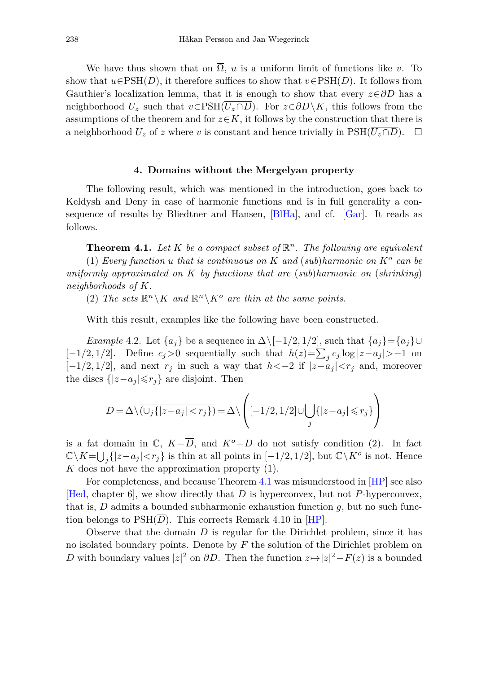We have thus shown that on  $\overline{\Omega}$ , *u* is a uniform limit of functions like *v*. To show that  $u \in \text{PSH}(\overline{D})$ , it therefore suffices to show that  $v \in \text{PSH}(\overline{D})$ . It follows from Gauthier's localization lemma, that it is enough to show that every *z*∈*∂D* has a neighborhood  $U_z$  such that  $v \in \text{PSH}(\overline{U_z \cap D})$ . For  $z \in \partial D \setminus K$ , this follows from the assumptions of the theorem and for  $z \in K$ , it follows by the construction that there is a neighborhood  $U_z$  of  $z$  where  $v$  is constant and hence trivially in  $\text{PSH}(U_z \cap D)$ .  $\Box$ 

#### **4. Domains without the Mergelyan property**

<span id="page-9-0"></span>The following result, which was mentioned in the introduction, goes back to Keldysh and Deny in case of harmonic functions and is in full generality a consequence of results by Bliedtner and Hansen, [\[BlHa](#page-11-7)], and cf. [\[Gar\]](#page-11-5). It reads as follows.

<span id="page-9-1"></span>**Theorem 4.1.** Let K be a compact subset of  $\mathbb{R}^n$ . The following are equivalent (1) Every function *u* that is continuous on K and (sub)harmonic on  $K^o$  can be uniformly approximated on *K* by functions that are (sub)harmonic on (shrinking) neighborhoods of *K*.

(2) The sets  $\mathbb{R}^n \setminus K$  and  $\mathbb{R}^n \setminus K^o$  are thin at the same points.

With this result, examples like the following have been constructed.

<span id="page-9-2"></span>*Example* 4.2. Let  $\{a_i\}$  be a sequence in  $\Delta \setminus [-1/2, 1/2]$ , such that  $\{a_i\} = \{a_i\} \cup$ [-1/2, 1/2]. Define  $c_j > 0$  sequentially such that  $h(z) = \sum_j c_j \log |z - a_j| > -1$  on  $[-1/2, 1/2]$ , and next  $r_j$  in such a way that  $h < -2$  if  $|z-a_j| < r_j$  and, moreover the discs  $\{|z-a_j| \leq r_j\}$  are disjoint. Then

$$
D = \Delta \backslash \overline{(\cup_j \{ |z-a_j|
$$

is a fat domain in  $\mathbb{C}$ ,  $K = \overline{D}$ , and  $K^o = D$  do not satisfy condition (2). In fact  $\mathbb{C}\backslash K = \bigcup_j \{|z - a_j| < r_j\}$  is thin at all points in  $[-1/2, 1/2]$ , but  $\mathbb{C}\backslash K^o$  is not. Hence *K* does not have the approximation property (1).

For completeness, and because Theorem [4.1](#page-9-1) was misunderstood in [\[HP](#page-12-8)] see also [\[Hed,](#page-12-1) chapter 6], we show directly that *D* is hyperconvex, but not *P*-hyperconvex, that is, *D* admits a bounded subharmonic exhaustion function *g*, but no such function belongs to  $PSH(\overline{D})$ . This corrects Remark 4.10 in [\[HP](#page-12-8)].

Observe that the domain *D* is regular for the Dirichlet problem, since it has no isolated boundary points. Denote by *F* the solution of the Dirichlet problem on *D* with boundary values  $|z|^2$  on  $\partial D$ . Then the function  $z \mapsto |z|^2 - F(z)$  is a bounded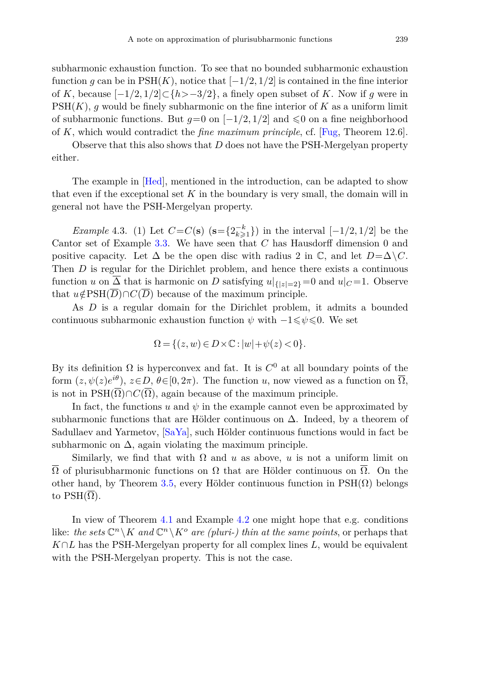subharmonic exhaustion function. To see that no bounded subharmonic exhaustion function *q* can be in  $PSH(K)$ , notice that  $[-1/2, 1/2]$  is contained in the fine interior of *K*, because  $[-1/2, 1/2] \subset \{h > -3/2\}$ , a finely open subset of *K*. Now if *g* were in PSH(*K*), *g* would be finely subharmonic on the fine interior of *K* as a uniform limit of subharmonic functions. But  $q=0$  on  $[-1/2, 1/2]$  and  $\leq 0$  on a fine neighborhood of *K*, which would contradict the *fine maximum principle*, cf. [\[Fug](#page-11-8), Theorem 12.6].

Observe that this also shows that *D* does not have the PSH-Mergelyan property either.

The example in [\[Hed\]](#page-12-1), mentioned in the introduction, can be adapted to show that even if the exceptional set *K* in the boundary is very small, the domain will in general not have the PSH-Mergelyan property.

<span id="page-10-0"></span>*Example* 4.3. (1) Let  $C = C(\mathbf{s})$  ( $\mathbf{s} = \{2^{-k}_{k\geq 1}\}\)$  in the interval  $[-1/2, 1/2]$  be the Cantor set of Example [3.3.](#page-4-1) We have seen that *C* has Hausdorff dimension 0 and positive capacity. Let  $\Delta$  be the open disc with radius 2 in  $\mathbb{C}$ , and let  $D = \Delta \setminus C$ . Then *D* is regular for the Dirichlet problem, and hence there exists a continuous function *u* on  $\Delta$  that is harmonic on *D* satisfying  $u|_{\{z\}=2}$  = 0 and  $u|_{C}=1$ . Observe that  $u \notin PSH(\overline{D}) \cap C(\overline{D})$  because of the maximum principle.

As *D* is a regular domain for the Dirichlet problem, it admits a bounded continuous subharmonic exhaustion function  $\psi$  with  $-1 \leq \psi \leq 0$ . We set

$$
\Omega=\{(z,w)\in D\times\mathbb{C}:|w|+\psi(z)<0\}.
$$

By its definition  $\Omega$  is hyperconvex and fat. It is  $C^0$  at all boundary points of the form  $(z, \psi(z)e^{i\theta})$ ,  $z \in D$ ,  $\theta \in [0, 2\pi)$ . The function *u*, now viewed as a function on  $\overline{\Omega}$ . is not in PSH $(\overline{\Omega}) \cap C(\overline{\Omega})$ , again because of the maximum principle.

In fact, the functions  $u$  and  $\psi$  in the example cannot even be approximated by subharmonic functions that are Hölder continuous on  $\Delta$ . Indeed, by a theorem of Sadullaev and Yarmetov, [\[SaYa\]](#page-12-9), such Hölder continuous functions would in fact be subharmonic on  $\Delta$ , again violating the maximum principle.

Similarly, we find that with  $\Omega$  and *u* as above, *u* is not a uniform limit on  $\overline{\Omega}$  of plurisubharmonic functions on  $\Omega$  that are Hölder continuous on  $\overline{\Omega}$ . On the other hand, by Theorem [3.5,](#page-5-1) every Hölder continuous function in  $PSH(\Omega)$  belongs to  $\text{PSH}(\Omega)$ .

In view of Theorem [4.1](#page-9-1) and Example [4.2](#page-9-2) one might hope that e.g. conditions like: *the sets*  $\mathbb{C}^n \setminus K$  *and*  $\mathbb{C}^n \setminus K^o$  *are (pluri-) thin at the same points*, or perhaps that *K*∩*L* has the PSH-Mergelyan property for all complex lines *L*, would be equivalent with the PSH-Mergelyan property. This is not the case.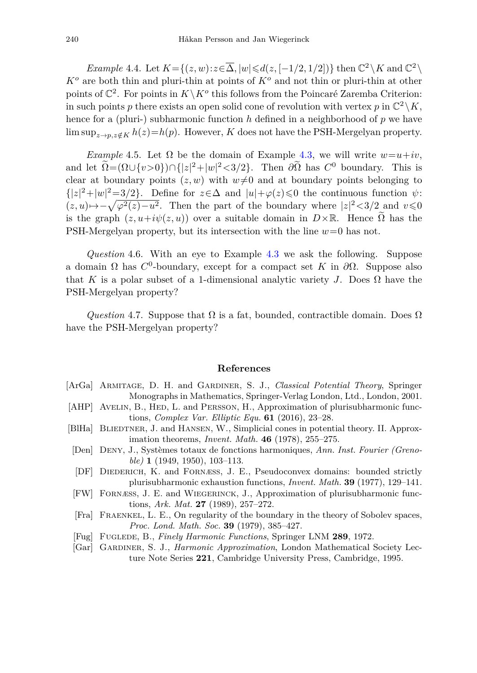*Example* 4.4. Let  $K = \{(z,w): z \in \overline{\Delta}, |w| \leq d(z, [-1/2, 1/2])\}$  then  $\mathbb{C}^2 \setminus K$  and  $\mathbb{C}^2 \setminus K$ *K<sup>o</sup>* are both thin and pluri-thin at points of *K<sup>o</sup>* and not thin or pluri-thin at other points of  $\mathbb{C}^2$ . For points in  $K\backslash K^o$  this follows from the Poincaré Zaremba Criterion: in such points *p* there exists an open solid cone of revolution with vertex *p* in  $\mathbb{C}^2 \backslash K$ , hence for a (pluri-) subharmonic function *h* defined in a neighborhood of *p* we have lim  $\sup_{z\to p,z\notin K} h(z) = h(p)$ . However, *K* does not have the PSH-Mergelyan property.

*Example* 4.5. Let  $\Omega$  be the domain of Example [4.3,](#page-10-0) we will write  $w=u+iv$ . and let  $\Omega = (\Omega \cup \{v > 0\}) \cap \{|z|^2 + |w|^2 < 3/2\}$ . Then  $\partial \Omega$  has  $C^0$  boundary. This is clear at boundary points  $(z, w)$  with  $w \neq 0$  and at boundary points belonging to  $\{|z|^2 + |w|^2 = 3/2\}$ . Define for  $z \in \Delta$  and  $|u| + \varphi(z) \leq 0$  the continuous function  $\psi$ :  $(z, u) \mapsto -\sqrt{\varphi^2(z) - u^2}$ . Then the part of the boundary where  $|z|^2 < 3/2$  and  $v \le 0$ is the graph  $(z, u+i\psi(z, u))$  over a suitable domain in  $D \times \mathbb{R}$ . Hence  $\Omega$  has the PSH-Mergelyan property, but its intersection with the line *w*=0 has not.

*Question* 4.6. With an eye to Example [4.3](#page-10-0) we ask the following. Suppose a domain  $\Omega$  has  $C^0$ -boundary, except for a compact set K in  $\partial\Omega$ . Suppose also that *K* is a polar subset of a 1-dimensional analytic variety *J*. Does  $\Omega$  have the PSH-Mergelyan property?

*Question* 4.7. Suppose that  $\Omega$  is a fat, bounded, contractible domain. Does  $\Omega$ have the PSH-Mergelyan property?

### **References**

- <span id="page-11-4"></span>[ArGa] Armitage, D. H. and Gardiner, S. J., *Classical Potential Theory*, Springer Monographs in Mathematics, Springer-Verlag London, Ltd., London, 2001.
- <span id="page-11-1"></span>[AHP] AVELIN, B., HED, L. and PERSSON, H., Approximation of plurisubharmonic functions, *Complex Var. Elliptic Equ.* **61** (2016), 23–28.
- <span id="page-11-7"></span>[BlHa] BLIEDTNER, J. and HANSEN, W., Simplicial cones in potential theory. II. Approximation theorems, *Invent. Math.* **46** (1978), 255–275.
- <span id="page-11-3"></span>[Den] Deny, J., Systèmes totaux de fonctions harmoniques, *Ann. Inst. Fourier (Grenoble)* **1** (1949, 1950), 103–113.
- <span id="page-11-6"></span>[DF] DIEDERICH, K. and FORNÆSS, J. E., Pseudoconvex domains: bounded strictly plurisubharmonic exhaustion functions, *Invent. Math.* **39** (1977), 129–141.
- <span id="page-11-0"></span>[FW] Fornæss, J. E. and Wiegerinck, J., Approximation of plurisubharmonic functions, *Ark. Mat.* **27** (1989), 257–272.
- <span id="page-11-2"></span>[Fra] Fraenkel, L. E., On regularity of the boundary in the theory of Sobolev spaces, *Proc. Lond. Math. Soc.* **39** (1979), 385–427.
- <span id="page-11-8"></span>[Fug] Fuglede, B., *Finely Harmonic Functions*, Springer LNM **289**, 1972.
- <span id="page-11-5"></span>[Gar] Gardiner, S. J., *Harmonic Approximation*, London Mathematical Society Lecture Note Series **221**, Cambridge University Press, Cambridge, 1995.